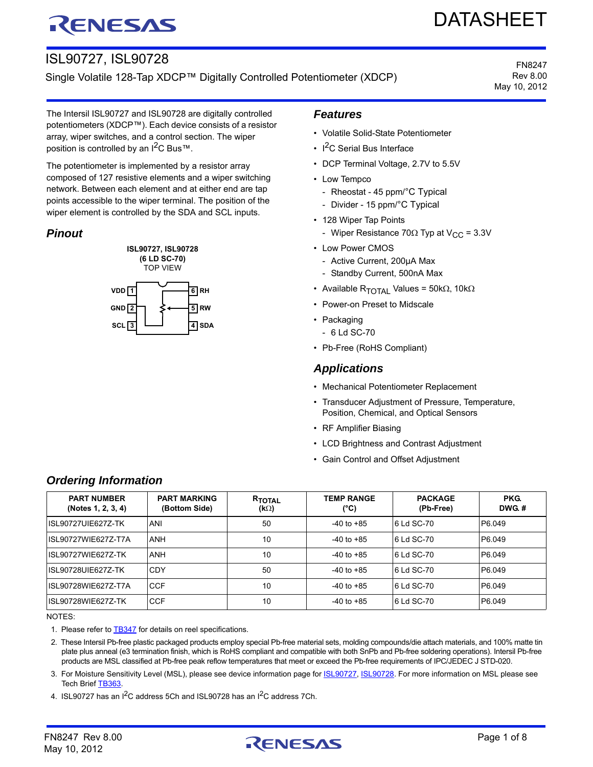# RENESAS

# DATASHEET

# ISL90727, ISL90728

Single Volatile 128-Tap XDCP™ Digitally Controlled Potentiometer (XDCP)

FN8247 Rev 8.00 May 10, 2012

The Intersil ISL90727 and ISL90728 are digitally controlled potentiometers (XDCP™). Each device consists of a resistor array, wiper switches, and a control section. The wiper position is controlled by an  $1^2C$  Bus™.

The potentiometer is implemented by a resistor array composed of 127 resistive elements and a wiper switching network. Between each element and at either end are tap points accessible to the wiper terminal. The position of the wiper element is controlled by the SDA and SCL inputs.

# *Pinout*



# *Features*

- Volatile Solid-State Potentiometer
- $\cdot$  I<sup>2</sup>C Serial Bus Interface
- DCP Terminal Voltage, 2.7V to 5.5V
- Low Tempco
	- Rheostat 45 ppm/°C Typical
	- Divider 15 ppm/°C Typical
- 128 Wiper Tap Points
	- Wiper Resistance 70 $\Omega$  Typ at V<sub>CC</sub> = 3.3V
- Low Power CMOS
	- Active Current, 200µA Max
	- Standby Current, 500nA Max
- Available R<sub>TOTAI</sub> Values = 50k $\Omega$ , 10k $\Omega$
- Power-on Preset to Midscale
- Packaging
- 6 Ld SC-70
- Pb-Free (RoHS Compliant)

### *Applications*

- Mechanical Potentiometer Replacement
- Transducer Adjustment of Pressure, Temperature, Position, Chemical, and Optical Sensors
- RF Amplifier Biasing
- LCD Brightness and Contrast Adjustment
- Gain Control and Offset Adjustment

| <b>PART NUMBER</b><br>(Notes 1, 2, 3, 4) | <b>PART MARKING</b><br>(Bottom Side) | R <sub>TOTAL</sub><br>$(k\Omega)$ | <b>TEMP RANGE</b><br>(°C) | <b>PACKAGE</b><br>(Pb-Free) | PKG.<br>DWG.# |
|------------------------------------------|--------------------------------------|-----------------------------------|---------------------------|-----------------------------|---------------|
| ISL90727UIE627Z-TK                       | ANI                                  | 50                                | $-40$ to $+85$            | 6 Ld SC-70                  | P6.049        |
| ISL90727WIE627Z-T7A                      | <b>ANH</b>                           | 10                                | $-40$ to $+85$            | 6 Ld SC-70                  | P6.049        |
| ISL90727WIE627Z-TK                       | <b>ANH</b>                           | 10                                | $-40$ to $+85$            | 6 Ld SC-70                  | P6.049        |
| ISL90728UIE627Z-TK                       | CDY                                  | 50                                | $-40$ to $+85$            | 6 Ld SC-70                  | P6.049        |
| ISL90728WIE627Z-T7A                      | CCF                                  | 10                                | $-40$ to $+85$            | 6 Ld SC-70                  | P6.049        |
| ISL90728WIE627Z-TK                       | <b>CCF</b>                           | 10                                | $-40$ to $+85$            | 6 Ld SC-70                  | P6.049        |

# *Ordering Information*

NOTES:

<span id="page-0-0"></span>1. Please refer to **TB347** for details on reel specifications.

<span id="page-0-1"></span>2. These Intersil Pb-free plastic packaged products employ special Pb-free material sets, molding compounds/die attach materials, and 100% matte tin plate plus anneal (e3 termination finish, which is RoHS compliant and compatible with both SnPb and Pb-free soldering operations). Intersil Pb-free products are MSL classified at Pb-free peak reflow temperatures that meet or exceed the Pb-free requirements of IPC/JEDEC J STD-020.

<span id="page-0-2"></span>3. For Moisture Sensitivity Level (MSL), please see device information page for **ISL90727**, [ISL90728](http://www.intersil.com/content/intersil/en/products/data-converters/digital-potentiometers--dcps-/dcps/ISL90728.html). For more information on MSL please see Tech Brief TB363

<span id="page-0-3"></span>4. ISL90727 has an I<sup>2</sup>C address 5Ch and ISL90728 has an I<sup>2</sup>C address 7Ch.

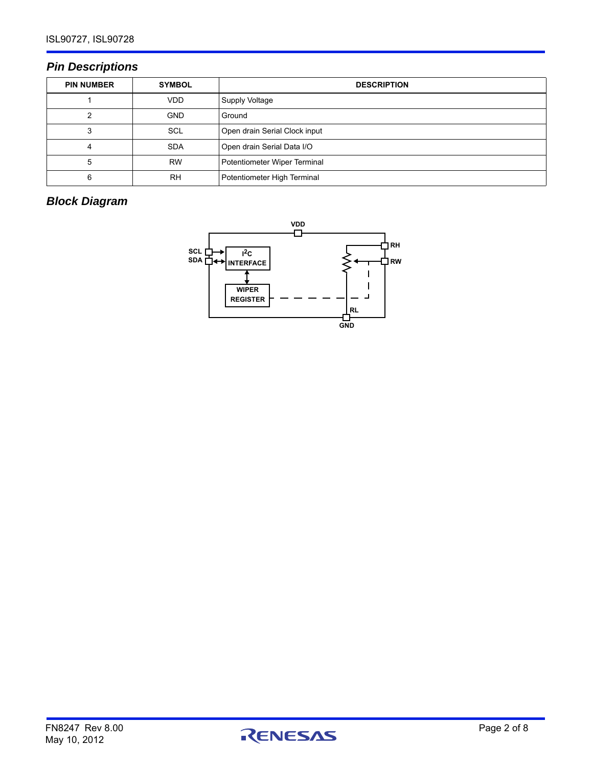# *Pin Descriptions*

| <b>PIN NUMBER</b> | <b>SYMBOL</b> | <b>DESCRIPTION</b>            |
|-------------------|---------------|-------------------------------|
|                   | <b>VDD</b>    | Supply Voltage                |
| っ                 | <b>GND</b>    | Ground                        |
| 3                 | <b>SCL</b>    | Open drain Serial Clock input |
| 4                 | <b>SDA</b>    | Open drain Serial Data I/O    |
| 5                 | <b>RW</b>     | Potentiometer Wiper Terminal  |
| 6                 | <b>RH</b>     | Potentiometer High Terminal   |

# *Block Diagram*



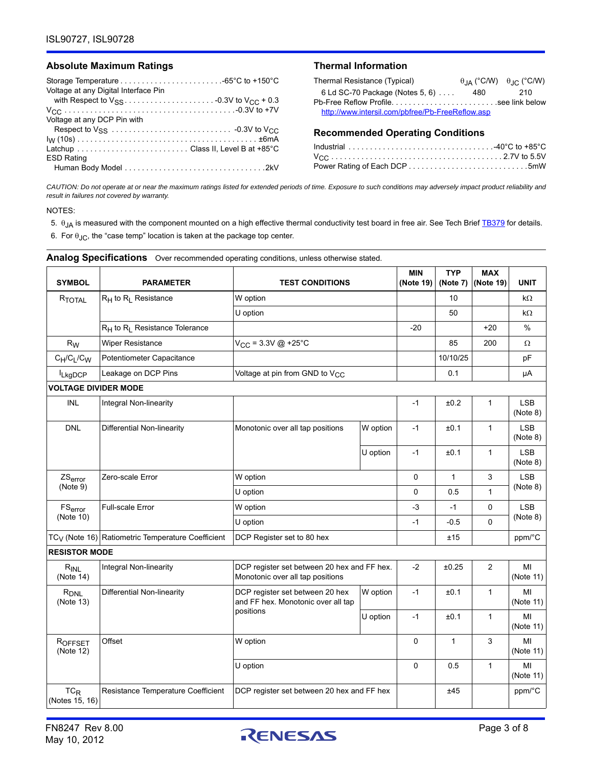#### Absolute Maximum Ratings **National Information** Thermal Information

| Voltage at any Digital Interface Pin |
|--------------------------------------|
|                                      |
|                                      |
| Voltage at any DCP Pin with          |
|                                      |
|                                      |
|                                      |
| <b>ESD Rating</b>                    |
|                                      |

| Thermal Resistance (Typical)                     |      | $\theta$ <sub>JA</sub> (°C/W) $\theta$ <sub>JC</sub> (°C/W) |
|--------------------------------------------------|------|-------------------------------------------------------------|
| 6 Ld SC-70 Package (Notes 5, 6) $\ldots$         | 480. | 210                                                         |
|                                                  |      |                                                             |
| http://www.intersil.com/pbfree/Pb-FreeReflow.asp |      |                                                             |
|                                                  |      |                                                             |

#### **Recommended Operating Conditions**

*CAUTION: Do not operate at or near the maximum ratings listed for extended periods of time. Exposure to such conditions may adversely impact product reliability and result in failures not covered by warranty.*

NOTES:

- <span id="page-2-0"></span>5.  $\theta_{JA}$  is measured with the component mounted on a high effective thermal conductivity test board in free air. See Tech Brief **[TB379](http://www.intersil.com/content/dam/Intersil/documents/tb37/tb379.pdf)** for details.
- <span id="page-2-1"></span>6. For  $\theta_{\text{JC}}$ , the "case temp" location is taken at the package top center.

| <b>SYMBOL</b>                 | <b>PARAMETER</b>                                              | <b>TEST CONDITIONS</b>                                                          |          | <b>MIN</b><br>(Note 19) | <b>TYP</b><br>(Note 7) | <b>MAX</b><br>(Note 19) | <b>UNIT</b>            |
|-------------------------------|---------------------------------------------------------------|---------------------------------------------------------------------------------|----------|-------------------------|------------------------|-------------------------|------------------------|
| RTOTAL                        | $R_H$ to $R_I$ Resistance                                     | W option<br>U option                                                            |          |                         | 10                     |                         | kΩ                     |
|                               |                                                               |                                                                                 |          |                         | 50                     |                         | kΩ                     |
|                               | R <sub>H</sub> to R <sub>L</sub> Resistance Tolerance         |                                                                                 |          | $-20$                   |                        | $+20$                   | $\%$                   |
| $R_W$                         | Wiper Resistance                                              | $V_{CC}$ = 3.3V @ +25°C                                                         |          |                         | 85                     | 200                     | Ω                      |
| $C_H/C_L/C_W$                 | Potentiometer Capacitance                                     |                                                                                 |          |                         | 10/10/25               |                         | pF                     |
| <b>ILkgDCP</b>                | Leakage on DCP Pins                                           | Voltage at pin from GND to $V_{CC}$                                             |          |                         | 0.1                    |                         | μA                     |
| <b>VOLTAGE DIVIDER MODE</b>   |                                                               |                                                                                 |          |                         |                        |                         |                        |
| <b>INL</b>                    | Integral Non-linearity                                        |                                                                                 |          | $-1$                    | ±0.2                   | $\mathbf{1}$            | <b>LSB</b><br>(Note 8) |
| <b>DNL</b>                    | Differential Non-linearity                                    | Monotonic over all tap positions                                                | W option | $-1$                    | ±0.1                   | $\mathbf{1}$            | <b>LSB</b><br>(Note 8) |
|                               |                                                               |                                                                                 | U option | $-1$                    | ±0.1                   | $\mathbf{1}$            | <b>LSB</b><br>(Note 8) |
| ZS <sub>error</sub>           | Zero-scale Error                                              | W option                                                                        |          | 0                       | $\mathbf{1}$           | 3                       | LSB                    |
| (Note 9)                      |                                                               | U option                                                                        | 0        | 0.5                     | $\mathbf{1}$           | (Note 8)                |                        |
| FS <sub>error</sub>           | Full-scale Error                                              | W option                                                                        |          | $-3$                    | $-1$                   | 0                       | LSB                    |
| (Note 10)                     |                                                               | U option                                                                        |          | $-1$                    | $-0.5$                 | 0                       | (Note 8)               |
|                               | TC <sub>V</sub> (Note 16) Ratiometric Temperature Coefficient | DCP Register set to 80 hex                                                      |          |                         | ±15                    |                         | ppm/°C                 |
| <b>RESISTOR MODE</b>          |                                                               |                                                                                 |          |                         |                        |                         |                        |
| $R_{INL}$<br>(Note 14)        | Integral Non-linearity                                        | DCP register set between 20 hex and FF hex.<br>Monotonic over all tap positions |          | $-2$                    | ±0.25                  | $\overline{c}$          | MI<br>(Note 11)        |
| R <sub>DNL</sub><br>(Note 13) | Differential Non-linearity                                    | DCP register set between 20 hex<br>and FF hex. Monotonic over all tap           | W option | $-1$                    | ±0.1                   | 1                       | MI<br>(Note 11)        |
|                               |                                                               | positions<br>U option                                                           |          | $-1$                    | ±0.1                   | $\mathbf{1}$            | MI<br>(Note 11)        |
| ROFFSET<br>(Note 12)          | Offset                                                        | W option                                                                        |          | 0                       | 1                      | 3                       | MI<br>(Note 11)        |
|                               |                                                               | U option                                                                        | 0        | 0.5                     | $\mathbf{1}$           | MI<br>(Note 11)         |                        |
| $TC_R$<br>(Notes 15, 16)      | Resistance Temperature Coefficient                            | DCP register set between 20 hex and FF hex                                      |          |                         | ±45                    |                         | ppm/°C                 |

**Analog Specifications** Over recommended operating conditions, unless otherwise stated.

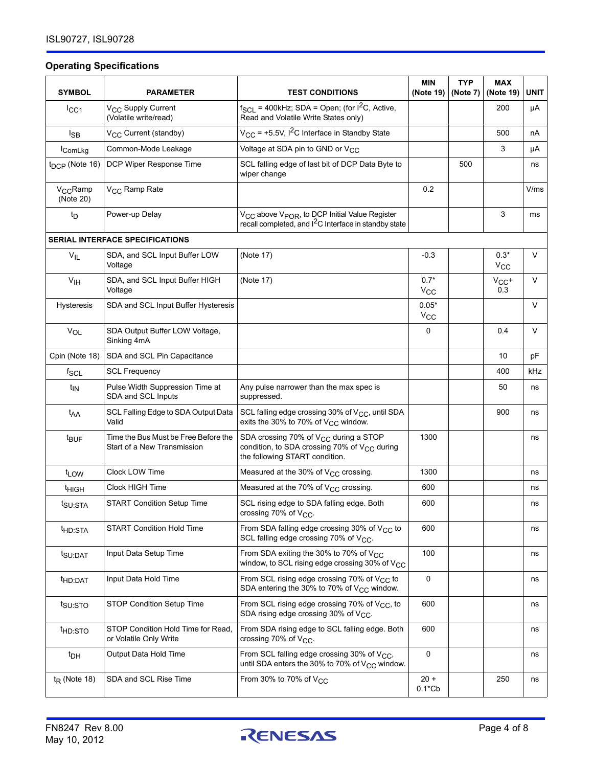## **Operating Specifications**

| <b>SYMBOL</b>                     | <b>PARAMETER</b>                                                    | <b>TEST CONDITIONS</b>                                                                                                                   | <b>MIN</b><br>(Note 19) | <b>TYP</b><br>(Note 7) | <b>MAX</b><br>(Note 19) | UNIT   |
|-----------------------------------|---------------------------------------------------------------------|------------------------------------------------------------------------------------------------------------------------------------------|-------------------------|------------------------|-------------------------|--------|
| $_{\text{ICC1}}$                  | V <sub>CC</sub> Supply Current<br>(Volatile write/read)             | $f_{SCL}$ = 400kHz; SDA = Open; (for $I^2C$ , Active,<br>Read and Volatile Write States only)                                            |                         |                        | 200                     | μA     |
| $I_{SB}$                          | V <sub>CC</sub> Current (standby)                                   | $V_{CC}$ = +5.5V, I <sup>2</sup> C Interface in Standby State                                                                            |                         |                        | 500                     | nA     |
| IComLkg                           | Common-Mode Leakage                                                 | Voltage at SDA pin to GND or V <sub>CC</sub>                                                                                             |                         |                        | 3                       | μA     |
| t <sub>DCP</sub> (Note 16)        | DCP Wiper Response Time                                             | SCL falling edge of last bit of DCP Data Byte to<br>wiper change                                                                         |                         | 500                    |                         | ns     |
| V <sub>CC</sub> Ramp<br>(Note 20) | V <sub>CC</sub> Ramp Rate                                           |                                                                                                                                          | 0.2                     |                        |                         | V/ms   |
| $t_{\mathsf{D}}$                  | Power-up Delay                                                      | $V_{CC}$ above $V_{POR}$ , to DCP Initial Value Register<br>recall completed, and $I2C$ Interface in standby state                       |                         |                        | 3                       | ms     |
|                                   | <b>SERIAL INTERFACE SPECIFICATIONS</b>                              |                                                                                                                                          |                         |                        |                         |        |
| $V_{IL}$                          | SDA, and SCL Input Buffer LOW<br>Voltage                            | (Note 17)                                                                                                                                | $-0.3$                  |                        | $0.3*$<br>$V_{\rm CC}$  | $\vee$ |
| V <sub>IH</sub>                   | SDA, and SCL Input Buffer HIGH<br>Voltage                           | (Note 17)                                                                                                                                | $0.7*$<br>$V_{\rm CC}$  |                        | $V_{CC}$ +<br>0.3       | V      |
| Hysteresis                        | SDA and SCL Input Buffer Hysteresis                                 |                                                                                                                                          | $0.05*$<br>$V_{\rm CC}$ |                        |                         | $\vee$ |
| $V_{OL}$                          | SDA Output Buffer LOW Voltage,<br>Sinking 4mA                       |                                                                                                                                          | 0                       |                        | 0.4                     | $\vee$ |
| Cpin (Note 18)                    | SDA and SCL Pin Capacitance                                         |                                                                                                                                          |                         |                        | 10                      | pF     |
| $f_{SCL}$                         | <b>SCL Frequency</b>                                                |                                                                                                                                          |                         |                        | 400                     | kHz    |
| t <sub>IN</sub>                   | Pulse Width Suppression Time at<br>SDA and SCL Inputs               | Any pulse narrower than the max spec is<br>suppressed.                                                                                   |                         |                        | 50                      | ns     |
| t <sub>AA</sub>                   | SCL Falling Edge to SDA Output Data<br>Valid                        | SCL falling edge crossing 30% of V <sub>CC</sub> , until SDA<br>exits the 30% to 70% of $V_{CC}$ window.                                 |                         |                        | 900                     | ns     |
| t <sub>BUF</sub>                  | Time the Bus Must be Free Before the<br>Start of a New Transmission | SDA crossing 70% of V <sub>CC</sub> during a STOP<br>condition, to SDA crossing 70% of $V_{CC}$ during<br>the following START condition. | 1300                    |                        |                         | ns     |
| t <sub>LOW</sub>                  | Clock LOW Time                                                      | Measured at the 30% of $V_{CC}$ crossing.                                                                                                | 1300                    |                        |                         | ns     |
| <sup>t</sup> HIGH                 | Clock HIGH Time                                                     | Measured at the 70% of $V_{CC}$ crossing.                                                                                                | 600                     |                        |                         | ns     |
| t <sub>SU:STA</sub>               | <b>START Condition Setup Time</b>                                   | SCL rising edge to SDA falling edge. Both<br>crossing 70% of V <sub>CC</sub> .                                                           | 600                     |                        |                         | ns     |
| <sup>t</sup> HD:STA               | <b>START Condition Hold Time</b>                                    | From SDA falling edge crossing 30% of $V_{CC}$ to<br>SCL falling edge crossing 70% of $V_{CC}$ .                                         | 600                     |                        |                         | ns     |
| $t$ SU:DAT                        | Input Data Setup Time                                               | From SDA exiting the 30% to 70% of V <sub>CC</sub><br>window, to SCL rising edge crossing 30% of V <sub>CC</sub>                         | 100                     |                        |                         | ns     |
| <sup>t</sup> HD:DAT               | Input Data Hold Time                                                | From SCL rising edge crossing 70% of V <sub>CC</sub> to<br>SDA entering the 30% to 70% of V <sub>CC</sub> window.                        | 0                       |                        |                         | ns     |
| t <sub>su:STO</sub>               | STOP Condition Setup Time                                           | From SCL rising edge crossing 70% of $V_{CC}$ , to<br>SDA rising edge crossing 30% of $V_{CC}$ .                                         | 600                     |                        |                         | ns     |
| t <sub>HD:STO</sub>               | STOP Condition Hold Time for Read,<br>or Volatile Only Write        | From SDA rising edge to SCL falling edge. Both<br>crossing 70% of $V_{CC}$ .                                                             | 600                     |                        |                         | ns     |
| $t_{DH}$                          | Output Data Hold Time                                               | From SCL falling edge crossing 30% of V <sub>CC</sub> ,<br>until SDA enters the 30% to 70% of $V_{CC}$ window.                           | 0                       |                        |                         | ns     |
| $t_{R}$ (Note 18)                 | SDA and SCL Rise Time                                               | From 30% to 70% of $V_{CC}$                                                                                                              | $20 +$<br>$0.1$ *Cb     |                        | 250                     | ns     |

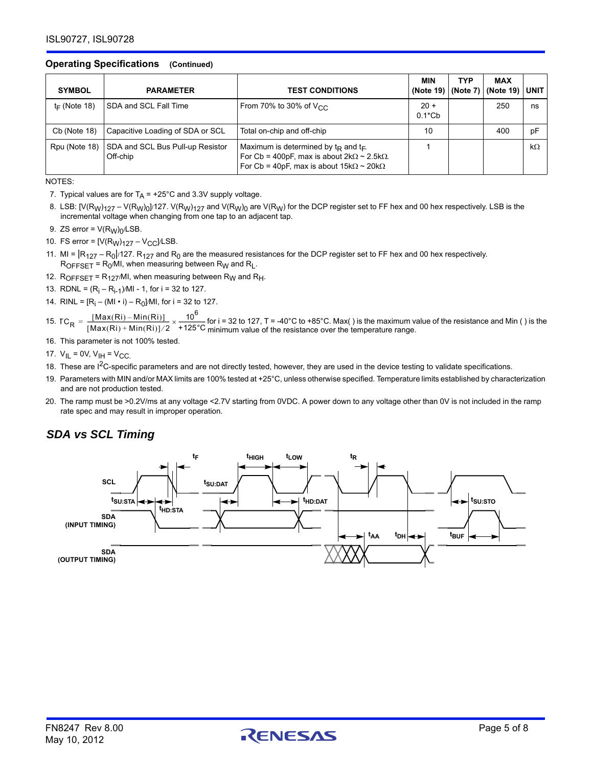#### **Operating Specifications (Continued)**

| <b>SYMBOL</b>   | <b>PARAMETER</b>                             | <b>TEST CONDITIONS</b>                                                                                                                                                        | <b>MIN</b><br>(Note 19) | <b>TYP</b> | <b>MAX</b><br>(Note 7) $ $ (Note 19) $ $ UNIT |           |
|-----------------|----------------------------------------------|-------------------------------------------------------------------------------------------------------------------------------------------------------------------------------|-------------------------|------------|-----------------------------------------------|-----------|
| $t_F$ (Note 18) | SDA and SCL Fall Time                        | From 70% to 30% of $V_{CC}$                                                                                                                                                   | $20 +$<br>$0.1$ *Cb     |            | 250                                           | ns        |
| $Cb$ (Note 18)  | Capacitive Loading of SDA or SCL             | Total on-chip and off-chip                                                                                                                                                    | 10                      |            | 400                                           | pF        |
| Rpu (Note 18)   | SDA and SCL Bus Pull-up Resistor<br>Off-chip | Maximum is determined by $t_{\rm R}$ and $t_{\rm F}$ .<br>For Cb = 400pF, max is about $2k\Omega \sim 2.5k\Omega$ .<br>For Cb = 40pF, max is about $15k\Omega \sim 20k\Omega$ |                         |            |                                               | $k\Omega$ |

NOTES:

- <span id="page-4-1"></span>7. Typical values are for  $T_A$  = +25°C and 3.3V supply voltage.
- <span id="page-4-2"></span>8. LSB:  $[V(R_W)<sub>127</sub> - V(R_W)<sub>0</sub>]$ /127. V $(R_W)<sub>127</sub>$  and V $(R_W)<sub>0</sub>$  are V $(R_W)$  for the DCP register set to FF hex and 00 hex respectively. LSB is the incremental voltage when changing from one tap to an adjacent tap.
- <span id="page-4-3"></span>9. ZS error =  $V(R_W)_0$ /LSB.
- <span id="page-4-4"></span>10. FS error =  $[V(R_W)<sub>127</sub> - V<sub>CC</sub>]$ /LSB.
- <span id="page-4-7"></span>11. MI =  $|R_{127} - R_0|$ /127.  $R_{127}$  and  $R_0$  are the measured resistances for the DCP register set to FF hex and 00 hex respectively.  $R_{OFFSET} = R_0$ /MI, when measuring between  $R_W$  and  $R_L$ .
- <span id="page-4-9"></span>12.  $R_{OFFSET} = R_{127}$ /MI, when measuring between  $R_W$  and  $R_H$ .
- <span id="page-4-8"></span>13. RDNL =  $(R_i - R_{i-1})$ /MI - 1, for i = 32 to 127.
- <span id="page-4-6"></span>14. RINL =  $[R_i - (MI \cdot i) - R_0]$ /MI, for i = 32 to 127.
- <span id="page-4-10"></span>15.  $TC_{\text{D}} = \frac{[W(\text{BAC}(F)) - W(\text{BAC}(F))]}{2} \times \frac{10}{2}$  for i = 32 to 127, T = -40°C to +85°C. Max() is the maximum value of the resistance and Min () is the  $TC_R = \frac{[Max(Ri) - Min(Ri)]}{[Max(Ri) + Min(Ri)]/2} \times \frac{10^6}{+125^{\circ}\text{C}}$  for i = 32 to 127, T = -40°C to +85°C. Max() is the maximum v
- <span id="page-4-5"></span>16. This parameter is not 100% tested.
- <span id="page-4-11"></span>17.  $V_{IL} = 0V$ ,  $V_{IH} = V_{CC}$ .
- <span id="page-4-12"></span>18. These are I<sup>2</sup>C-specific parameters and are not directly tested, however, they are used in the device testing to validate specifications.
- <span id="page-4-0"></span>19. Parameters with MIN and/or MAX limits are 100% tested at +25°C, unless otherwise specified. Temperature limits established by characterization and are not production tested.
- <span id="page-4-13"></span>20. The ramp must be >0.2V/ms at any voltage <2.7V starting from 0VDC. A power down to any voltage other than 0V is not included in the ramp rate spec and may result in improper operation.

# *SDA vs SCL Timing*

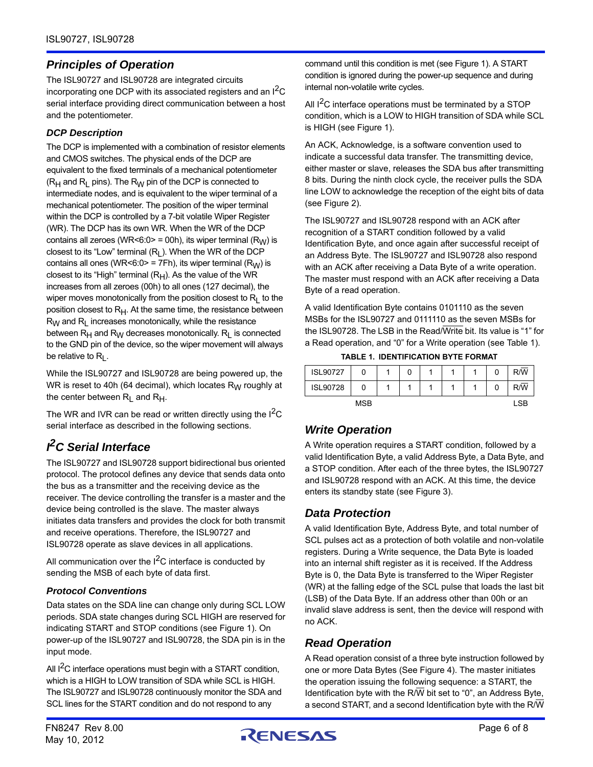# *Principles of Operation*

The ISL90727 and ISL90728 are integrated circuits incorporating one DCP with its associated registers and an I<sup>2</sup>C serial interface providing direct communication between a host and the potentiometer.

#### *DCP Description*

The DCP is implemented with a combination of resistor elements and CMOS switches. The physical ends of the DCP are equivalent to the fixed terminals of a mechanical potentiometer  $(R_H$  and  $R_L$  pins). The  $R_W$  pin of the DCP is connected to intermediate nodes, and is equivalent to the wiper terminal of a mechanical potentiometer. The position of the wiper terminal within the DCP is controlled by a 7-bit volatile Wiper Register (WR). The DCP has its own WR. When the WR of the DCP contains all zeroes (WR<6:0> = 00h), its wiper terminal  $(R_W)$  is closest to its "Low" terminal  $(R_L)$ . When the WR of the DCP contains all ones (WR<6:0> = 7Fh), its wiper terminal ( $R_W$ ) is closest to its "High" terminal  $(R_H)$ . As the value of the WR increases from all zeroes (00h) to all ones (127 decimal), the wiper moves monotonically from the position closest to  $R_L$  to the position closest to  $R<sub>H</sub>$ . At the same time, the resistance between  $R_W$  and  $R_L$  increases monotonically, while the resistance between  $R_H$  and  $R_W$  decreases monotonically.  $R_L$  is connected to the GND pin of the device, so the wiper movement will always be relative to  $R_L$ .

While the ISL90727 and ISL90728 are being powered up, the WR is reset to 40h (64 decimal), which locates  $R_W$  roughly at the center between  $R_L$  and  $R_H$ .

The WR and IVR can be read or written directly using the  $1^2C$ serial interface as described in the following sections.

# *I 2C Serial Interface*

The ISL90727 and ISL90728 support bidirectional bus oriented protocol. The protocol defines any device that sends data onto the bus as a transmitter and the receiving device as the receiver. The device controlling the transfer is a master and the device being controlled is the slave. The master always initiates data transfers and provides the clock for both transmit and receive operations. Therefore, the ISL90727 and ISL90728 operate as slave devices in all applications.

All communication over the  $1^2C$  interface is conducted by sending the MSB of each byte of data first.

#### *Protocol Conventions*

Data states on the SDA line can change only during SCL LOW periods. SDA state changes during SCL HIGH are reserved for indicating START and STOP conditions (see Figure [1\)](#page-6-0). On power-up of the ISL90727 and ISL90728, the SDA pin is in the input mode.

All  $I^2C$  interface operations must begin with a START condition, which is a HIGH to LOW transition of SDA while SCL is HIGH. The ISL90727 and ISL90728 continuously monitor the SDA and SCL lines for the START condition and do not respond to any

command until this condition is met (see Figure [1](#page-6-0)). A START condition is ignored during the power-up sequence and during internal non-volatile write cycles.

All I<sup>2</sup>C interface operations must be terminated by a STOP condition, which is a LOW to HIGH transition of SDA while SCL is HIGH (see Figure [1\)](#page-6-0).

An ACK, Acknowledge, is a software convention used to indicate a successful data transfer. The transmitting device, either master or slave, releases the SDA bus after transmitting 8 bits. During the ninth clock cycle, the receiver pulls the SDA line LOW to acknowledge the reception of the eight bits of data (see Figure [2\)](#page-6-1).

The ISL90727 and ISL90728 respond with an ACK after recognition of a START condition followed by a valid Identification Byte, and once again after successful receipt of an Address Byte. The ISL90727 and ISL90728 also respond with an ACK after receiving a Data Byte of a write operation. The master must respond with an ACK after receiving a Data Byte of a read operation.

A valid Identification Byte contains 0101110 as the seven MSBs for the ISL90727 and 0111110 as the seven MSBs for the ISL90728. The LSB in the Read/Write bit. Its value is "1" for a Read operation, and "0" for a Write operation (see Table [1\)](#page-5-0).

**TABLE 1. IDENTIFICATION BYTE FORMAT**

<span id="page-5-0"></span>

| <b>ISL90727</b> | 0          | 0 |  | 0 | R/W        |
|-----------------|------------|---|--|---|------------|
| <b>ISL90728</b> |            |   |  | 0 | R/W        |
|                 | <b>MSB</b> |   |  |   | <b>LSB</b> |

# *Write Operation*

A Write operation requires a START condition, followed by a valid Identification Byte, a valid Address Byte, a Data Byte, and a STOP condition. After each of the three bytes, the ISL90727 and ISL90728 respond with an ACK. At this time, the device enters its standby state (see Figure [3](#page-6-3)).

# *Data Protection*

A valid Identification Byte, Address Byte, and total number of SCL pulses act as a protection of both volatile and non-volatile registers. During a Write sequence, the Data Byte is loaded into an internal shift register as it is received. If the Address Byte is 0, the Data Byte is transferred to the Wiper Register (WR) at the falling edge of the SCL pulse that loads the last bit (LSB) of the Data Byte. If an address other than 00h or an invalid slave address is sent, then the device will respond with no ACK.

# *Read Operation*

A Read operation consist of a three byte instruction followed by one or more Data Bytes [\(See Figure 4\)](#page-6-2). The master initiates the operation issuing the following sequence: a START, the Identification byte with the R/W bit set to "0", an Address Byte, a second START, and a second Identification byte with the R/W

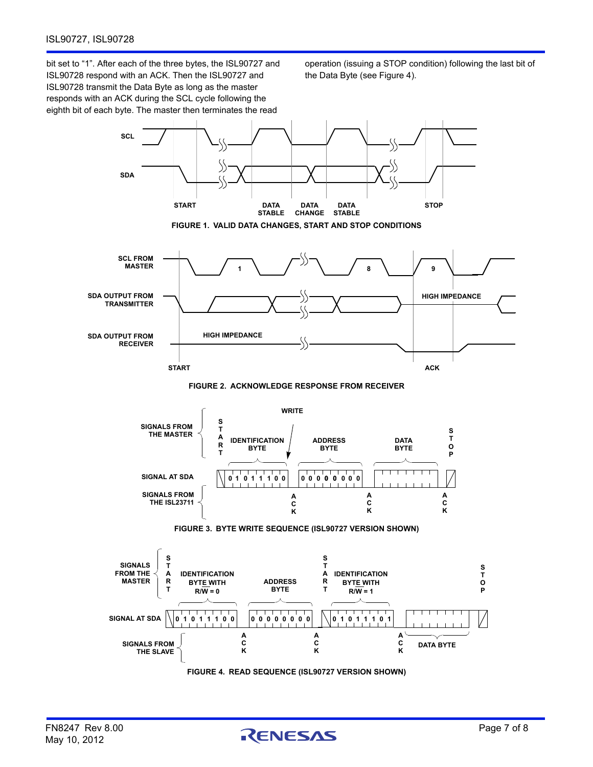bit set to "1". After each of the three bytes, the ISL90727 and ISL90728 respond with an ACK. Then the ISL90727 and ISL90728 transmit the Data Byte as long as the master responds with an ACK during the SCL cycle following the eighth bit of each byte. The master then terminates the read

operation (issuing a STOP condition) following the last bit of the Data Byte (see Figure [4\)](#page-6-2).

<span id="page-6-1"></span><span id="page-6-0"></span>

<span id="page-6-3"></span><span id="page-6-2"></span>